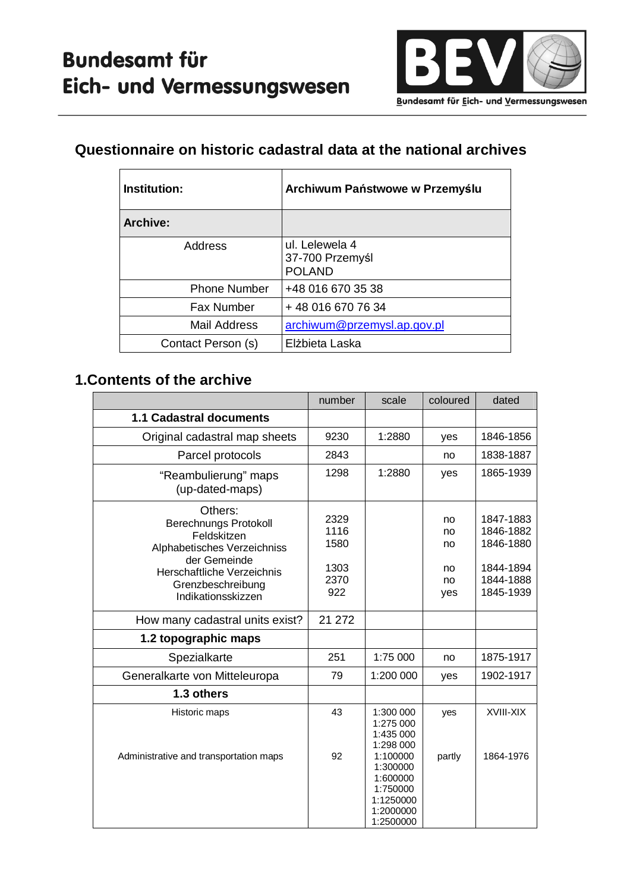

### **Questionnaire on historic cadastral data at the national archives**

| Institution:        | Archiwum Państwowe w Przemyślu                     |
|---------------------|----------------------------------------------------|
| <b>Archive:</b>     |                                                    |
| Address             | ul. Lelewela 4<br>37-700 Przemyśl<br><b>POLAND</b> |
| <b>Phone Number</b> | +48 016 670 35 38                                  |
| <b>Fax Number</b>   | +48 016 670 76 34                                  |
| Mail Address        | archiwum@przemysl.ap.gov.pl                        |
| Contact Person (s)  | Elżbieta Laska                                     |

#### **1.Contents of the archive**

|                                                                                                                                                                                | number                                      | scale                                                                               | coloured                          | dated                                                                      |
|--------------------------------------------------------------------------------------------------------------------------------------------------------------------------------|---------------------------------------------|-------------------------------------------------------------------------------------|-----------------------------------|----------------------------------------------------------------------------|
| 1.1 Cadastral documents                                                                                                                                                        |                                             |                                                                                     |                                   |                                                                            |
| Original cadastral map sheets                                                                                                                                                  | 9230                                        | 1:2880                                                                              | yes                               | 1846-1856                                                                  |
| Parcel protocols                                                                                                                                                               | 2843                                        |                                                                                     | no                                | 1838-1887                                                                  |
| "Reambulierung" maps<br>(up-dated-maps)                                                                                                                                        | 1298                                        | 1:2880                                                                              | yes                               | 1865-1939                                                                  |
| Others:<br><b>Berechnungs Protokoll</b><br>Feldskitzen<br>Alphabetisches Verzeichniss<br>der Gemeinde<br>Herschaftliche Verzeichnis<br>Grenzbeschreibung<br>Indikationsskizzen | 2329<br>1116<br>1580<br>1303<br>2370<br>922 |                                                                                     | no<br>no<br>no<br>no<br>no<br>yes | 1847-1883<br>1846-1882<br>1846-1880<br>1844-1894<br>1844-1888<br>1845-1939 |
| How many cadastral units exist?                                                                                                                                                | 21 272                                      |                                                                                     |                                   |                                                                            |
| 1.2 topographic maps                                                                                                                                                           |                                             |                                                                                     |                                   |                                                                            |
| Spezialkarte                                                                                                                                                                   | 251                                         | 1:75 000                                                                            | no                                | 1875-1917                                                                  |
| Generalkarte von Mitteleuropa                                                                                                                                                  | 79                                          | 1:200 000                                                                           | yes                               | 1902-1917                                                                  |
| 1.3 others                                                                                                                                                                     |                                             |                                                                                     |                                   |                                                                            |
| Historic maps                                                                                                                                                                  | 43                                          | 1:300 000<br>1:275 000<br>1:435 000<br>1:298 000                                    | yes                               | XVIII-XIX                                                                  |
| Administrative and transportation maps                                                                                                                                         | 92                                          | 1:100000<br>1:300000<br>1:600000<br>1:750000<br>1:1250000<br>1:2000000<br>1:2500000 | partly                            | 1864-1976                                                                  |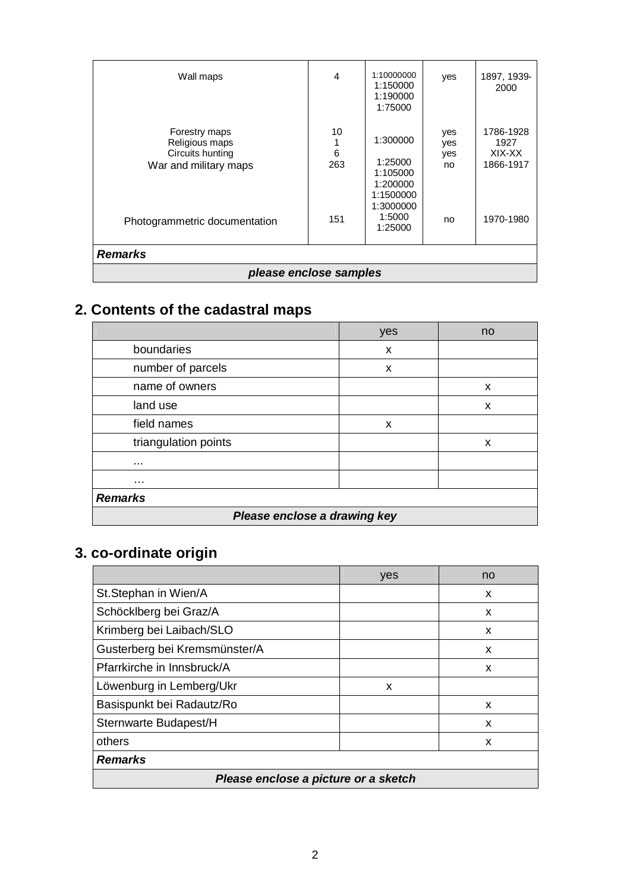| Photogrammetric documentation | 151 | 1:105000<br>1:200000<br>1:1500000<br>1:3000000<br>1:5000<br>1:25000 | no | 1970-1980 |
|-------------------------------|-----|---------------------------------------------------------------------|----|-----------|
| <b>Remarks</b>                |     |                                                                     |    |           |
| please enclose samples        |     |                                                                     |    |           |

# **2. Contents of the cadastral maps**

|                              | yes | no |  |
|------------------------------|-----|----|--|
| boundaries                   | X   |    |  |
| number of parcels            | X   |    |  |
| name of owners               |     | X  |  |
| land use                     |     | x  |  |
| field names                  | X   |    |  |
| triangulation points         |     | X  |  |
|                              |     |    |  |
| .                            |     |    |  |
| <b>Remarks</b>               |     |    |  |
| Please enclose a drawing key |     |    |  |

# **3. co-ordinate origin**

|                                      | yes | no |
|--------------------------------------|-----|----|
| St.Stephan in Wien/A                 |     | X  |
| Schöcklberg bei Graz/A               |     | x  |
| Krimberg bei Laibach/SLO             |     | x  |
| Gusterberg bei Kremsmünster/A        |     | x  |
| Pfarrkirche in Innsbruck/A           |     | X  |
| Löwenburg in Lemberg/Ukr             | X   |    |
| Basispunkt bei Radautz/Ro            |     | X  |
| Sternwarte Budapest/H                |     | x  |
| others                               |     | X  |
| <b>Remarks</b>                       |     |    |
| Please enclose a picture or a sketch |     |    |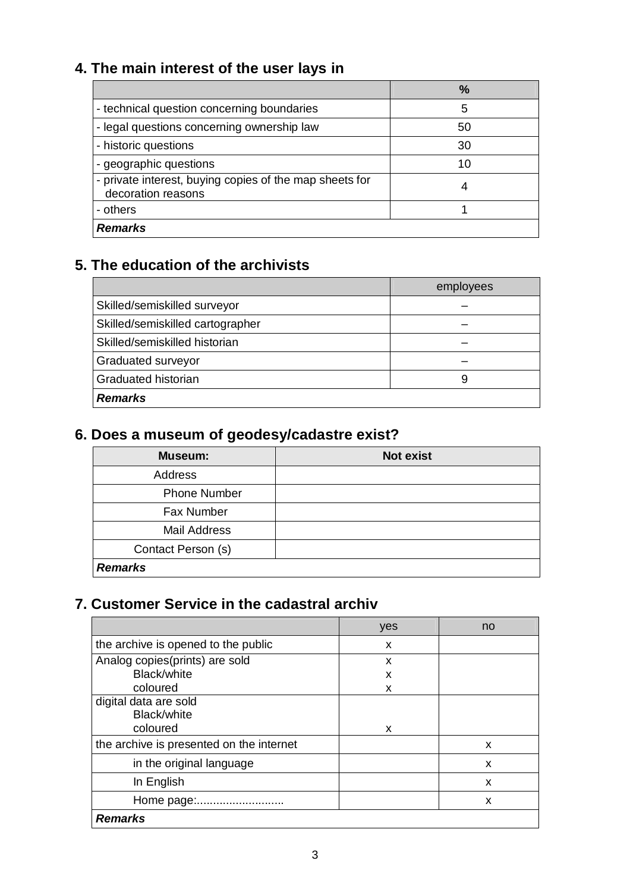# **4. The main interest of the user lays in**

|                                                                               | $\frac{9}{6}$ |
|-------------------------------------------------------------------------------|---------------|
| - technical question concerning boundaries                                    | 5             |
| - legal questions concerning ownership law                                    | 50            |
| - historic questions                                                          | 30            |
| - geographic questions                                                        | 10            |
| - private interest, buying copies of the map sheets for<br>decoration reasons |               |
| - others                                                                      |               |
| <b>Remarks</b>                                                                |               |

## **5. The education of the archivists**

|                                  | employees |
|----------------------------------|-----------|
| Skilled/semiskilled surveyor     |           |
| Skilled/semiskilled cartographer |           |
| Skilled/semiskilled historian    |           |
| Graduated surveyor               |           |
| Graduated historian              | 9         |
| <b>Remarks</b>                   |           |

## **6. Does a museum of geodesy/cadastre exist?**

| Museum:             | <b>Not exist</b> |
|---------------------|------------------|
| Address             |                  |
| <b>Phone Number</b> |                  |
| Fax Number          |                  |
| <b>Mail Address</b> |                  |
| Contact Person (s)  |                  |
| <b>Remarks</b>      |                  |

## **7. Customer Service in the cadastral archiv**

|                                                  | yes | no |
|--------------------------------------------------|-----|----|
| the archive is opened to the public              | x   |    |
| Analog copies(prints) are sold                   | X   |    |
| <b>Black/white</b>                               | X   |    |
| coloured                                         | x   |    |
| digital data are sold<br>Black/white<br>coloured | x   |    |
| the archive is presented on the internet         |     | x  |
| in the original language                         |     | x  |
| In English                                       |     | x  |
| Home page:.                                      |     | x  |
| <b>Remarks</b>                                   |     |    |